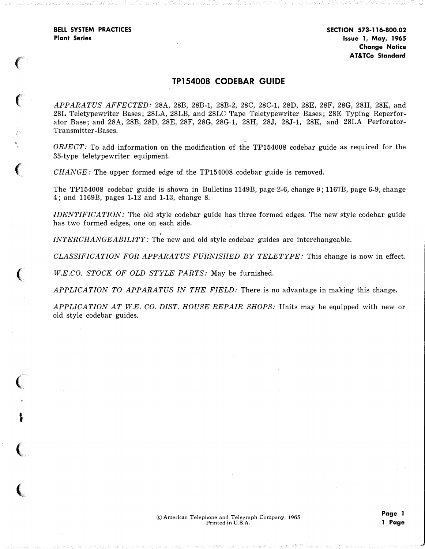$\big($ 

 $\big($ 

(

'

 $\big($ 

(

# TP154008 CODEBAR GUIDE

APPARATUS AFFECTED: 28A, 28B, 28B-1, 28B-2, 28C, 28C-1, 28D, 28E, 28F, 28G, 28H, 28K, and 28L Teletypewriter Bases; 28LA, 28LB, and 28LC Tape Teletypewriter Bases; 28E Typing Reperforator Base; and 28A, 28B, 28D, 28E, 28F, 28G, 28G-1, 28H, 28J, 28J-1, 28K, and 28LA Perforator-Transmitter-Bases.

 $OBIECT:$  To add information on the modification of the TP154008 codebar guide as required for the 35-type teletypewriter equipment.

 $CHANGE$ : The upper formed edge of the TP154008 codebar guide is removed.

The TP154008 codebar guide is shown in Bulletins 1149B, page 2-6, change 9; 1167B, page 6-9, change 4; and 1169B, pages 1-12 and 1-13, change 8.

IDENTIFICATION: The old style codebar guide has three formed edges. The new style codebar guide has two formed edges, one on each side.

INTERCHANGEABILITY: The new and old style codebar guides are interchangeable.

CLASSIFICATION FOR APPARATUS FURNISHED BY TELETYPE: This change is now in effect.

W.E.CO. STOCK OF OLD STYLE PARTS: May be furnished.

APPLICATION TO APPARATUS IN THE FIELD: There is no advantage in making this change.

APPLICATION AT W.E. CO. DIST. HOUSE REPAIR SHOPS: Units may be equipped with new or old style codebar guides.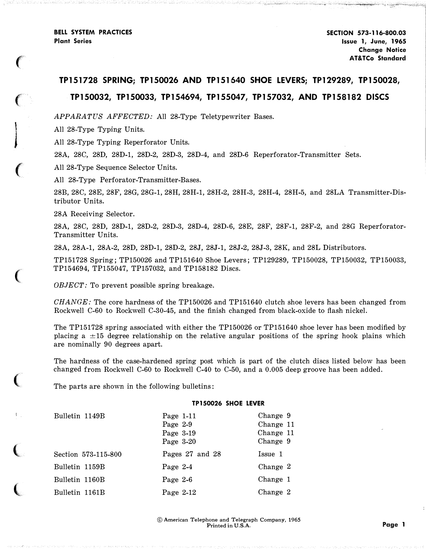$\big($ 

 $\big($ 

l

 $\big($ 

 $\big($ 

 $\big($ 

 $\big($ 

 $\big($ 

# TP151728 SPRING; TP150026 AND TP151640 SHOE LEVERS; TP129289, TP150028,

#### TP150032, TP150033, TP154694, TP155047, TP157032, AND TP158182 DISCS

APPARATUS AFFECTED: All 28-Type Teletypewriter Bases.

All 28-Type Typing Units.

All 28-Type Typing Reperforator Units.

28A, 28C, 28D, 28D-1, 28D-2, 28D-3, 28D--4, and 28D-6 Reperforator-Transmitter Sets.

All 28-Type Sequence Selector Units.

All 28-Type Perforator-Transmitter-Bases.

28B, 28C, 28E, 28F, 28G, 28G-1, 28H, 28H-1, 28H-2, 28H-3, 28H-4, 28H-5, and 28LA Transmitter-Distributor Units.

28A Receiving Selector.

28A, 28C, 28D, 28D-1, 28D-2, 28D-3, 28D-4, 28D-6, 28E, 28F, 28F-1, 28F-2, and 28G Reperforator-Transmitter Units.

28A, 28A-1, 28A-2, 28D, 28D-1, 28D-2, 28J, 28J-1, 28J-2, 28J-3, 28K, and 28L Distributors.

TP151728 Spring; TP150026 and TP151640 Shoe Levers; TP129289, TP150028, TP150032, TP150033, TP154694, TP155047, TP157032, and TP158182 Discs.

OBJECT: To prevent possible spring breakage.

CHANGE: The core hardness of the TP150026 and TP151640 clutch shoe levers has been changed from Rockwell C-60 to Rockwell C-30-45, and the finish changed from black-oxide to flash nickel.

The TP151728 spring associated with either the TP150026 or TP151640 shoe lever has been modified by placing a  $\pm 15$  degree relationship on the relative angular positions of the spring hook plains which are nominally 90 degrees apart.

The hardness of the case-hardened spring post which is part of the clutch discs listed below has been changed from Rockwell C-60 to Rockwell C-40 to C-50, and a 0.005 deep groove has been added.

The parts are shown in the following bulletins:

#### TP150026 SHOE LEVER

| Bulletin 1149B      | Page $1-11$<br>Page $2-9$ | Change 9<br>Change 11 |
|---------------------|---------------------------|-----------------------|
|                     | Page 3-19<br>Page $3-20$  | Change 11<br>Change 9 |
| Section 573-115-800 | Pages 27 and 28           | Issue 1               |
| Bulletin 1159B      | Page $2-4$                | Change 2              |
| Bulletin 1160B      | Page $2-6$                | Change 1              |
| Bulletin 1161B      | Page $2-12$               | Change 2              |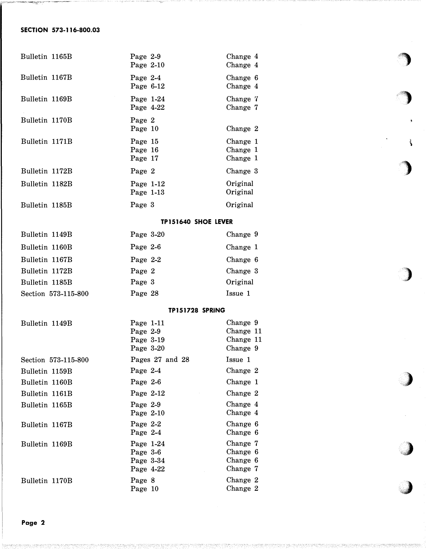### SECTION 573-116-800.03

| Bulletin 1165B      | Page 2-9<br>Page 2-10                           | Change 4<br>Change 4                           |   |
|---------------------|-------------------------------------------------|------------------------------------------------|---|
| Bulletin 1167B      | Page 2-4<br>Page 6-12                           | Change 6<br>Change 4                           |   |
| Bulletin 1169B      | Page 1-24<br>Page 4-22                          | Change 7<br>Change 7                           |   |
| Bulletin 1170B      | Page 2<br>Page 10                               | Change 2                                       |   |
| Bulletin 1171B      | Page 15<br>Page 16<br>Page 17                   | Change 1<br>Change 1<br>Change 1               | j |
| Bulletin 1172B      | Page 2                                          | Change 3                                       |   |
| Bulletin 1182B      | Page 1-12<br>Page 1-13                          | Original<br>Original                           |   |
| Bulletin 1185B      | Page 3                                          | Original                                       |   |
|                     | TP151640 SHOE LEVER                             |                                                |   |
| Bulletin 1149B      | Page 3-20                                       | Change 9                                       |   |
| Bulletin 1160B      | Page 2-6                                        | Change 1                                       |   |
| Bulletin 1167B      | Page 2-2                                        | Change 6                                       |   |
| Bulletin 1172B      | Page 2                                          | Change 3                                       |   |
| Bulletin 1185B      | Page 3                                          | Original                                       |   |
| Section 573-115-800 | Page 28                                         | Issue 1                                        |   |
|                     | <b>TP151728 SPRING</b>                          |                                                |   |
| Bulletin 1149B      | Page 1-11<br>Page 2-9<br>Page 3-19<br>Page 3-20 | Change 9<br>Change 11<br>Change 11<br>Change 9 |   |
| Section 573-115-800 | Pages 27 and 28                                 | Issue 1                                        |   |
| Bulletin 1159B      | Page 2-4                                        | Change 2                                       |   |
| Bulletin 1160B      | Page 2-6                                        | Change 1                                       |   |
| Bulletin 1161B      | Page 2-12                                       | Change 2                                       |   |
| Bulletin 1165B      | Page 2-9<br>Page 2-10                           | Change 4<br>Change 4                           |   |
| Bulletin 1167B      | Page 2-2<br>Page 2-4                            | Change 6<br>Change 6                           |   |
| Bulletin 1169B      | Page 1-24<br>Page 3-6                           | Change 7<br>Change 6                           |   |

Bulletin 1170B Page 8 Change 2<br>Page 10 Change 2

Page 3-34 Change 6 Page 3-34 Change 6<br>Page 4-22 Change 7

Page 8<br>Page 10 Change 2

Change 2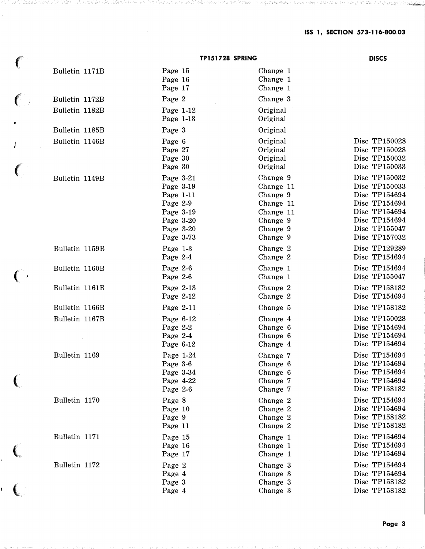Bulletin 1171B Page 15 Change 1

 $\left($ 

 $\left($ 

 $\big($ 

 $\left( \right)$ 

 $\big($ 

 $\big($ 

(

Bulletin 1172B Page 2 Change 3 Bulletin 1182B Page 1-12 Original Bulletin 1185B Page 3 Original

| TP151728 SPRING | <b>DISCS</b> |
|-----------------|--------------|
|-----------------|--------------|

Page 16 Change 1 Page 17 Change 1

|                | Page 1-13                                                                                           | Original                                                                                        |                                                                                                                                      |
|----------------|-----------------------------------------------------------------------------------------------------|-------------------------------------------------------------------------------------------------|--------------------------------------------------------------------------------------------------------------------------------------|
| Bulletin 1185B | Page 3                                                                                              | Original                                                                                        |                                                                                                                                      |
| Bulletin 1146B | Page 6<br>Page 27<br>Page 30<br>Page 30                                                             | Original<br>Original<br>Original<br>Original                                                    | Disc TP150028<br>Disc TP150028<br>Disc TP150032<br>Disc TP150033                                                                     |
| Bulletin 1149B | Page 3-21<br>Page 3-19<br>Page 1-11<br>Page 2-9<br>Page 3-19<br>Page 3-20<br>Page 3-20<br>Page 3-73 | Change 9<br>Change 11<br>Change 9<br>Change 11<br>Change 11<br>Change 9<br>Change 9<br>Change 9 | Disc TP150032<br>Disc TP150033<br>Disc TP154694<br>Disc TP154694<br>Disc TP154694<br>Disc TP154694<br>Disc TP155047<br>Disc TP157032 |
| Bulletin 1159B | Page 1-3<br>Page 2-4                                                                                | Change 2<br>Change 2                                                                            | Disc TP129289<br>Disc TP154694                                                                                                       |
| Bulletin 1160B | Page 2-6<br>Page 2-6                                                                                | Change 1<br>Change 1                                                                            | Disc TP154694<br>Disc TP155047                                                                                                       |
| Bulletin 1161B | Page 2-13<br>Page 2-12                                                                              | Change 2<br>Change 2                                                                            | Disc TP158182<br>Disc TP154694                                                                                                       |
| Bulletin 1166B | Page 2-11                                                                                           | Change 5                                                                                        | Disc TP158182                                                                                                                        |
| Bulletin 1167B | Page 6-12<br>Page 2-2<br>Page 2-4<br>Page 6-12                                                      | Change 4<br>Change 6<br>Change 6<br>Change 4                                                    | Disc TP150028<br>Disc TP154694<br>Disc TP154694<br>Disc TP154694                                                                     |
| Bulletin 1169  | Page 1-24<br>Page 3-6<br>Page 3-34<br>Page 4-22<br>Page 2-6                                         | Change 7<br>Change 6<br>Change 6<br>Change 7<br>Change 7                                        | Disc TP154694<br>Disc TP154694<br>Disc TP154694<br>Disc TP154694<br>Disc TP158182                                                    |
| Bulletin 1170  | Page 8<br>Page 10<br>Page 9<br>Page 11                                                              | Change 2<br>Change 2<br>Change 2<br>Change 2                                                    | Disc TP154694<br>Disc TP154694<br>Disc TP158182<br>Disc TP158182                                                                     |
| Bulletin 1171  | Page 15<br>Page 16<br>Page 17                                                                       | Change 1<br>Change 1<br>Change 1                                                                | Disc TP154694<br>Disc TP154694<br>Disc TP154694                                                                                      |
| Bulletin 1172  | Page 2<br>Page 4<br>Page 3<br>Page 4                                                                | Change 3<br>Change 3<br>Change 3<br>Change 3                                                    | Disc TP154694<br>Disc TP154694<br>Disc TP158182<br>Disc TP158182                                                                     |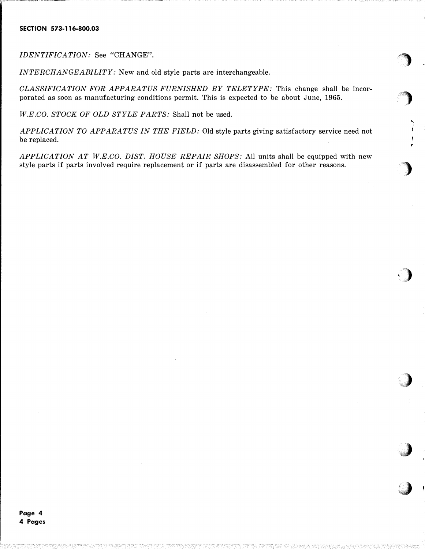#### SECTION 573-116-800.03

IDENTIFICATION: See "CHANGE".

INTERCHANGEABILITY: New and old style parts are interchangeable.

CLASSIFICATION FOR APPARATUS FURNISHED BY TELETYPE: This change shall be incorporated as soon as manufacturing conditions permit. This is expected to be about June, 1965.

"')

 $\boldsymbol{J}$ 

,,

r

)

·)

)

 $\mathcal{I}$ 

: J

W.E.CO. STOCK OF OLD STYLE PARTS: Shall not be used.

APPLICATION TO APPARATUS IN THE FIELD: Old style parts giving satisfactory service need not be replaced.

APPLICATION AT W.E.CO. DIST. HOUSE REPAIR SHOPS: All units shall be equipped with new style parts if parts involved require replacement or if parts are disassembled for other reasons.